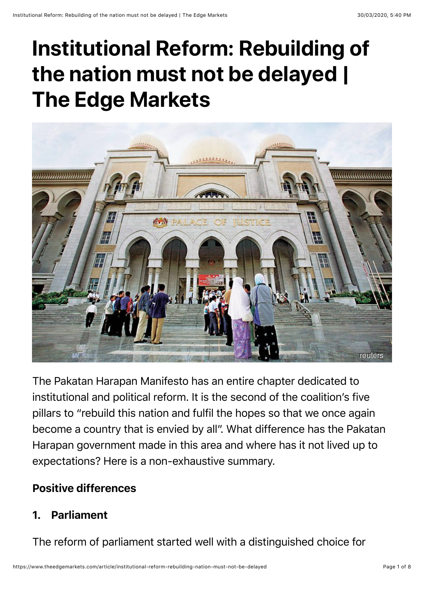# **Institutional Reform: Rebuilding of the nation must not be delayed | The Edge Markets**



The Pakatan Harapan Manifesto has an entire chapter dedicated to institutional and political reform. It is the second of the coalition's five pillars to "rebuild this nation and fulfil the hopes so that we once again become a country that is envied by all". What difference has the Pakatan Harapan government made in this area and where has it not lived up to expectations? Here is a non-exhaustive summary.

#### Positive differences

### 1. Parliament

The reform of parliament started well with a distinguished choice for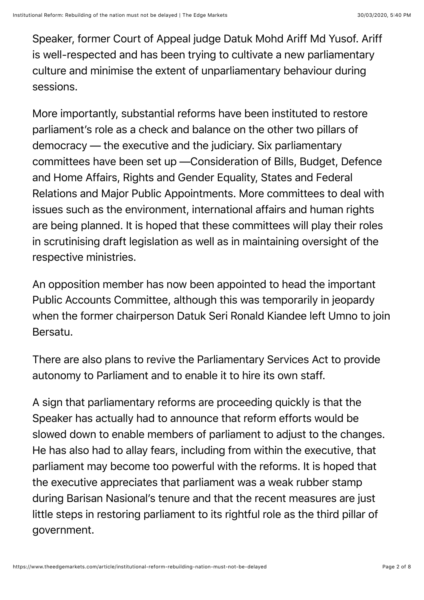Speaker, former Court of Appeal judge Datuk Mohd Ariff Md Yusof. Ariff is well-respected and has been trying to cultivate a new parliamentary culture and minimise the extent of unparliamentary behaviour during sessions.

More importantly, substantial reforms have been instituted to restore parliament's role as a check and balance on the other two pillars of democracy — the executive and the judiciary. Six parliamentary committees have been set up —Consideration of Bills, Budget, Defence and Home Affairs, Rights and Gender Equality, States and Federal Relations and Major Public Appointments. More committees to deal with issues such as the environment, international affairs and human rights are being planned. It is hoped that these committees will play their roles in scrutinising draft legislation as well as in maintaining oversight of the respective ministries.

An opposition member has now been appointed to head the important Public Accounts Committee, although this was temporarily in jeopardy when the former chairperson Datuk Seri Ronald Kiandee left Umno to join Bersatu.

There are also plans to revive the Parliamentary Services Act to provide autonomy to Parliament and to enable it to hire its own staff.

A sign that parliamentary reforms are proceeding quickly is that the Speaker has actually had to announce that reform efforts would be slowed down to enable members of parliament to adjust to the changes. He has also had to allay fears, including from within the executive, that parliament may become too powerful with the reforms. It is hoped that the executive appreciates that parliament was a weak rubber stamp during Barisan Nasional's tenure and that the recent measures are just little steps in restoring parliament to its rightful role as the third pillar of government.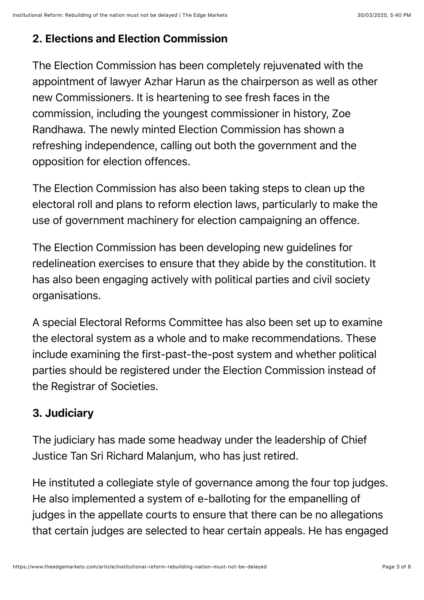## 2. Elections and Election Commission

The Election Commission has been completely rejuvenated with the appointment of lawyer Azhar Harun as the chairperson as well as other new Commissioners. It is heartening to see fresh faces in the commission, including the youngest commissioner in history, Zoe Randhawa. The newly minted Election Commission has shown a refreshing independence, calling out both the government and the opposition for election offences.

The Election Commission has also been taking steps to clean up the electoral roll and plans to reform election laws, particularly to make the use of government machinery for election campaigning an offence.

The Election Commission has been developing new guidelines for redelineation exercises to ensure that they abide by the constitution. It has also been engaging actively with political parties and civil society organisations.

A special Electoral Reforms Committee has also been set up to examine the electoral system as a whole and to make recommendations. These include examining the first-past-the-post system and whether political parties should be registered under the Election Commission instead of the Registrar of Societies.

### 3. Judiciary

The judiciary has made some headway under the leadership of Chief Justice Tan Sri Richard Malanjum, who has just retired.

He instituted a collegiate style of governance among the four top judges. He also implemented a system of e-balloting for the empanelling of judges in the appellate courts to ensure that there can be no allegations that certain judges are selected to hear certain appeals. He has engaged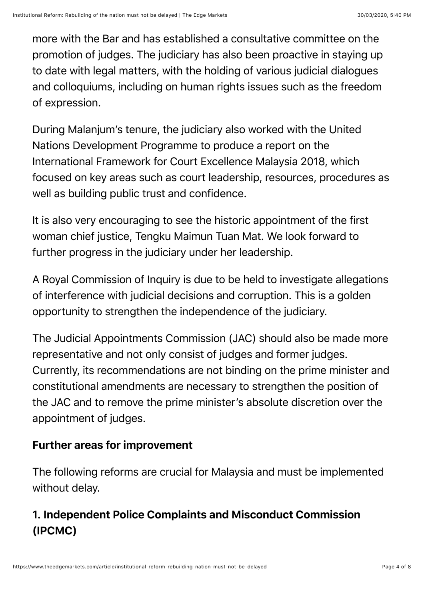more with the Bar and has established a consultative committee on the promotion of judges. The judiciary has also been proactive in staying up to date with legal matters, with the holding of various judicial dialogues and colloquiums, including on human rights issues such as the freedom of expression.

During Malanjum's tenure, the judiciary also worked with the United Nations Development Programme to produce a report on the International Framework for Court Excellence Malaysia 2018, which focused on key areas such as court leadership, resources, procedures as well as building public trust and confidence.

It is also very encouraging to see the historic appointment of the first woman chief justice, Tengku Maimun Tuan Mat. We look forward to further progress in the judiciary under her leadership.

A Royal Commission of Inquiry is due to be held to investigate allegations of interference with judicial decisions and corruption. This is a golden opportunity to strengthen the independence of the judiciary.

The Judicial Appointments Commission (JAC) should also be made more representative and not only consist of judges and former judges. Currently, its recommendations are not binding on the prime minister and constitutional amendments are necessary to strengthen the position of the JAC and to remove the prime minister's absolute discretion over the appointment of judges.

#### Further areas for improvement

The following reforms are crucial for Malaysia and must be implemented without delay.

## 1. Independent Police Complaints and Misconduct Commission (IPCMC)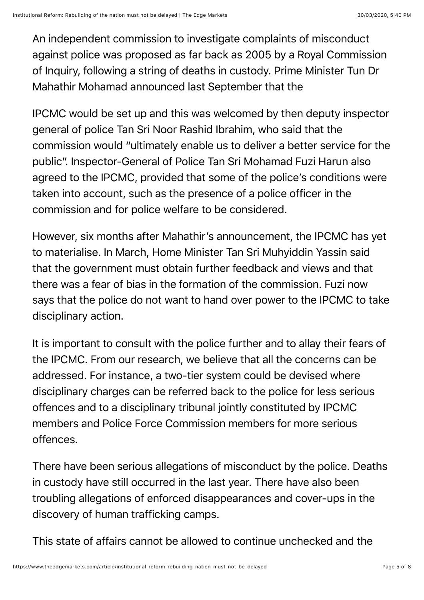An independent commission to investigate complaints of misconduct against police was proposed as far back as 2005 by a Royal Commission of Inquiry, following a string of deaths in custody. Prime Minister Tun Dr Mahathir Mohamad announced last September that the

IPCMC would be set up and this was welcomed by then deputy inspector general of police Tan Sri Noor Rashid Ibrahim, who said that the commission would "ultimately enable us to deliver a better service for the public". Inspector-General of Police Tan Sri Mohamad Fuzi Harun also agreed to the IPCMC, provided that some of the police's conditions were taken into account, such as the presence of a police officer in the commission and for police welfare to be considered.

However, six months after Mahathir's announcement, the IPCMC has yet to materialise. In March, Home Minister Tan Sri Muhyiddin Yassin said that the government must obtain further feedback and views and that there was a fear of bias in the formation of the commission. Fuzi now says that the police do not want to hand over power to the IPCMC to take disciplinary action.

It is important to consult with the police further and to allay their fears of the IPCMC. From our research, we believe that all the concerns can be addressed. For instance, a two-tier system could be devised where disciplinary charges can be referred back to the police for less serious offences and to a disciplinary tribunal jointly constituted by IPCMC members and Police Force Commission members for more serious offences.

There have been serious allegations of misconduct by the police. Deaths in custody have still occurred in the last year. There have also been troubling allegations of enforced disappearances and cover-ups in the discovery of human trafficking camps.

This state of affairs cannot be allowed to continue unchecked and the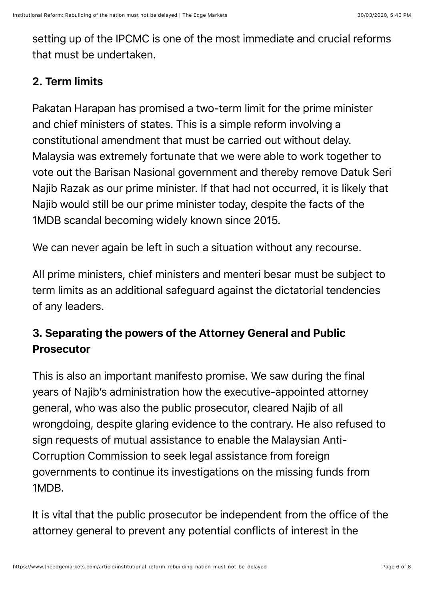setting up of the IPCMC is one of the most immediate and crucial reforms that must be undertaken.

#### 2. Term limits

Pakatan Harapan has promised a two-term limit for the prime minister and chief ministers of states. This is a simple reform involving a constitutional amendment that must be carried out without delay. Malaysia was extremely fortunate that we were able to work together to vote out the Barisan Nasional government and thereby remove Datuk Seri Najib Razak as our prime minister. If that had not occurred, it is likely that Najib would still be our prime minister today, despite the facts of the 1MDB scandal becoming widely known since 2015.

We can never again be left in such a situation without any recourse.

All prime ministers, chief ministers and menteri besar must be subject to term limits as an additional safeguard against the dictatorial tendencies of any leaders.

## 3. Separating the powers of the Attorney General and Public Prosecutor

This is also an important manifesto promise. We saw during the final years of Najib's administration how the executive-appointed attorney general, who was also the public prosecutor, cleared Najib of all wrongdoing, despite glaring evidence to the contrary. He also refused to sign requests of mutual assistance to enable the Malaysian Anti-Corruption Commission to seek legal assistance from foreign governments to continue its investigations on the missing funds from 1MDB.

It is vital that the public prosecutor be independent from the office of the attorney general to prevent any potential conflicts of interest in the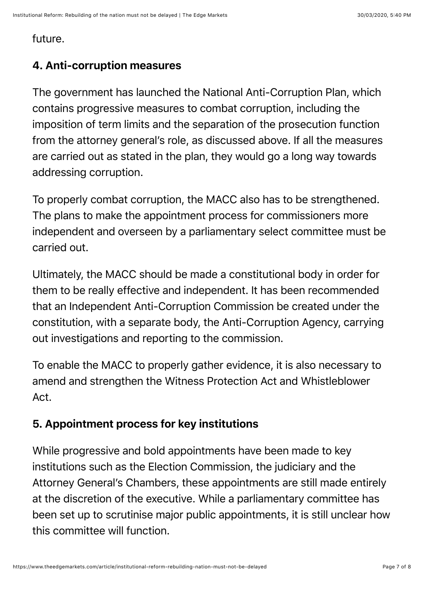#### future.

### 4. Anti-corruption measures

The government has launched the National Anti-Corruption Plan, which contains progressive measures to combat corruption, including the imposition of term limits and the separation of the prosecution function from the attorney general's role, as discussed above. If all the measures are carried out as stated in the plan, they would go a long way towards addressing corruption.

To properly combat corruption, the MACC also has to be strengthened. The plans to make the appointment process for commissioners more independent and overseen by a parliamentary select committee must be carried out.

Ultimately, the MACC should be made a constitutional body in order for them to be really effective and independent. It has been recommended that an Independent Anti-Corruption Commission be created under the constitution, with a separate body, the Anti-Corruption Agency, carrying out investigations and reporting to the commission.

To enable the MACC to properly gather evidence, it is also necessary to amend and strengthen the Witness Protection Act and Whistleblower Act.

### 5. Appointment process for key institutions

While progressive and bold appointments have been made to key institutions such as the Election Commission, the judiciary and the Attorney General's Chambers, these appointments are still made entirely at the discretion of the executive. While a parliamentary committee has been set up to scrutinise major public appointments, it is still unclear how this committee will function.